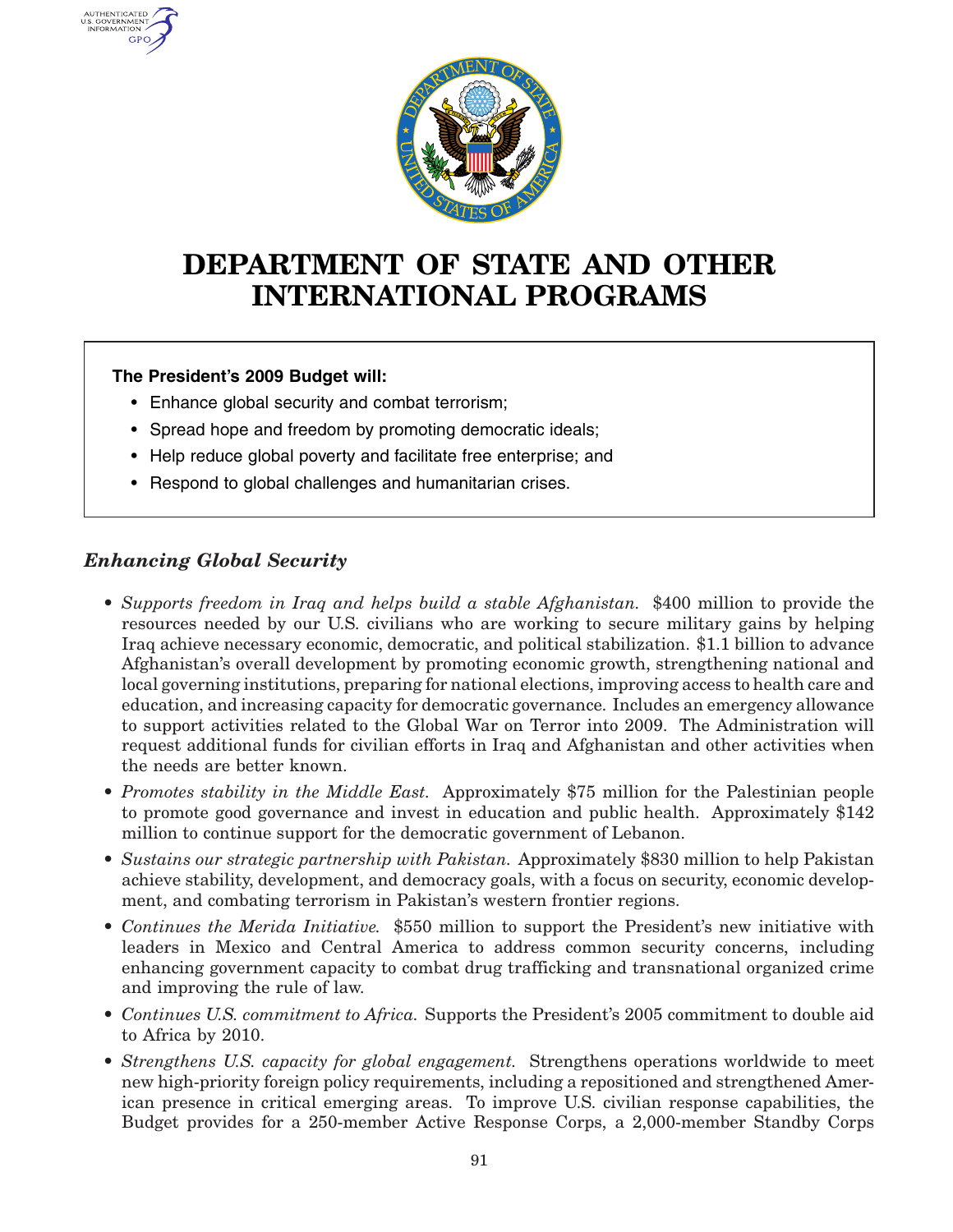

# **DEPARTMENT OF STATE AND OTHER INTERNATIONAL PROGRAMS**

#### **The President's 2009 Budget will:**

AUTHENTICATED U.S. GOVERNMENT **GPO** 

- Enhance global security and combat terrorism;
- Spread hope and freedom by promoting democratic ideals;
- Help reduce global poverty and facilitate free enterprise; and
- Respond to global challenges and humanitarian crises.

## *Enhancing Global Security*

- *Supports freedom in Iraq and helps build <sup>a</sup> stable Afghanistan.* \$400 million to provide the resources needed by our U.S. civilians who are working to secure military gains by helping Iraq achieve necessary economic, democratic, and political stabilization. \$1.1 billion to advance Afghanistan's overall development by promoting economic growth, strengthening national and local governing institutions, preparing for national elections, improving access to health care and education, and increasing capacity for democratic governance. Includes an emergency allowance to support activities related to the Global War on Terror into 2009. The Administration will request additional funds for civilian efforts in Iraq and Afghanistan and other activities when the needs are better known.
- *Promotes stability in the Middle East.* Approximately \$75 million for the Palestinian people to promote good governance and invest in education and public health. Approximately \$142 million to continue support for the democratic government of Lebanon.
- *Sustains our strategic partnership with Pakistan.* Approximately \$830 million to help Pakistan achieve stability, development, and democracy goals, with <sup>a</sup> focus on security, economic development, and combating terrorism in Pakistan's western frontier regions.
- *Continues the Merida Initiative.* \$550 million to support the President's new initiative with leaders in Mexico and Central America to address common security concerns, including enhancing government capacity to combat drug trafficking and transnational organized crime and improving the rule of law.
- *Continues U.S. commitment to Africa.* Supports the President's 2005 commitment to double aid to Africa by 2010.
- *Strengthens U.S. capacity for global engagement.* Strengthens operations worldwide to meet new high-priority foreign policy requirements, including <sup>a</sup> repositioned and strengthened American presence in critical emerging areas. To improve U.S. civilian response capabilities, the Budget provides for <sup>a</sup> 250-member Active Response Corps, <sup>a</sup> 2,000-member Standby Corps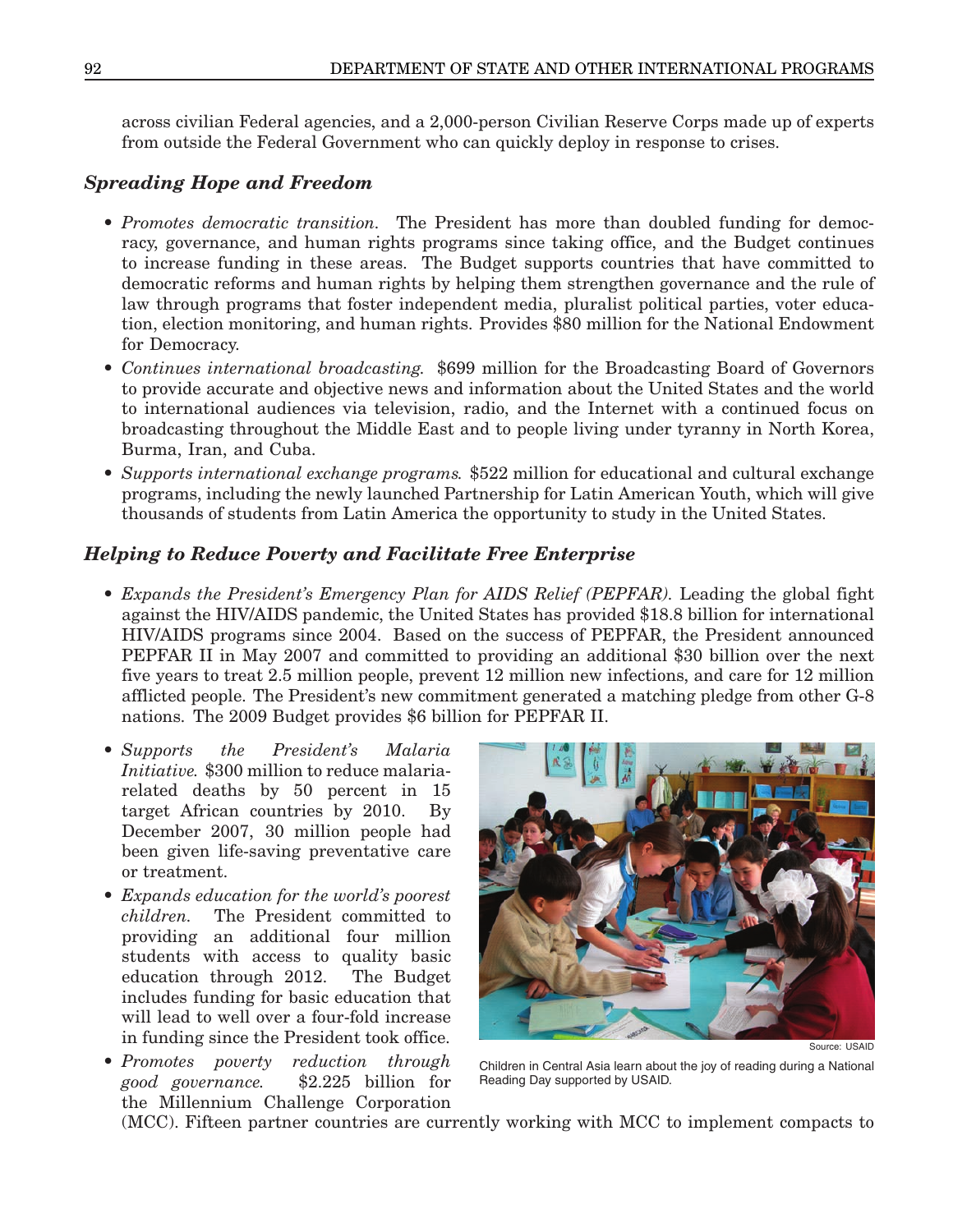across civilian Federal agencies, and <sup>a</sup> 2,000-person Civilian Reserve Corps made up of experts from outside the Federal Government who can quickly deploy in response to crises.

## *Spreading Hope and Freedom*

- *Promotes democratic transition.* The President has more than doubled funding for democracy, governance, and human rights programs since taking office, and the Budget continues to increase funding in these areas. The Budget supports countries that have committed to democratic reforms and human rights by helping them strengthen governance and the rule of law through programs that foster independent media, pluralist political parties, voter education, election monitoring, and human rights. Provides \$80 million for the National Endowment for Democracy.
- *Continues international broadcasting.* \$699 million for the Broadcasting Board of Governors to provide accurate and objective news and information about the United States and the world to international audiences via television, radio, and the Internet with <sup>a</sup> continued focus on broadcasting throughout the Middle East and to people living under tyranny in North Korea, Burma, Iran, and Cuba.
- *Supports international exchange programs.* \$522 million for educational and cultural exchange programs, including the newly launched Partnership for Latin American Youth, which will give thousands of students from Latin America the opportunity to study in the United States.

## *Helping to Reduce Poverty and Facilitate Free Enterprise*

- *Expands the President's Emergency Plan for AIDS Relief (PEPFAR).* Leading the global fight against the HIV/AIDS pandemic, the United States has provided \$18.8 billion for international HIV/AIDS programs since 2004. Based on the success of PEPFAR, the President announced PEPFAR II in May 2007 and committed to providing an additional \$30 billion over the next five years to treat 2.5 million people, prevent 12 million new infections, and care for 12 million afflicted people. The President's new commitment generated <sup>a</sup> matching pledge from other G-8 nations. The 2009 Budget provides \$6 billion for PEPFAR II.
- *Supports the President's Malaria Initiative.* \$300 million to reduce malariarelated deaths by 50 percent in 15 target African countries by 2010. By December 2007, 30 million people had been given life-saving preventative care or treatment.
- *Expands education for the world's poorest children.* The President committed to providing an additional four million students with access to quality basic education through 2012. The Budget includes funding for basic education that will lead to well over <sup>a</sup> four-fold increase in funding since the President took office.
- *Promotes poverty reduction through good governance.* \$2.225 billion for the Millennium Challenge Corporation



Source: USAID

Children in Central Asia learn about the joy of reading during <sup>a</sup> National Reading Day supported by USAID.

(MCC). Fifteen partner countries are currently working with MCC to implement compacts to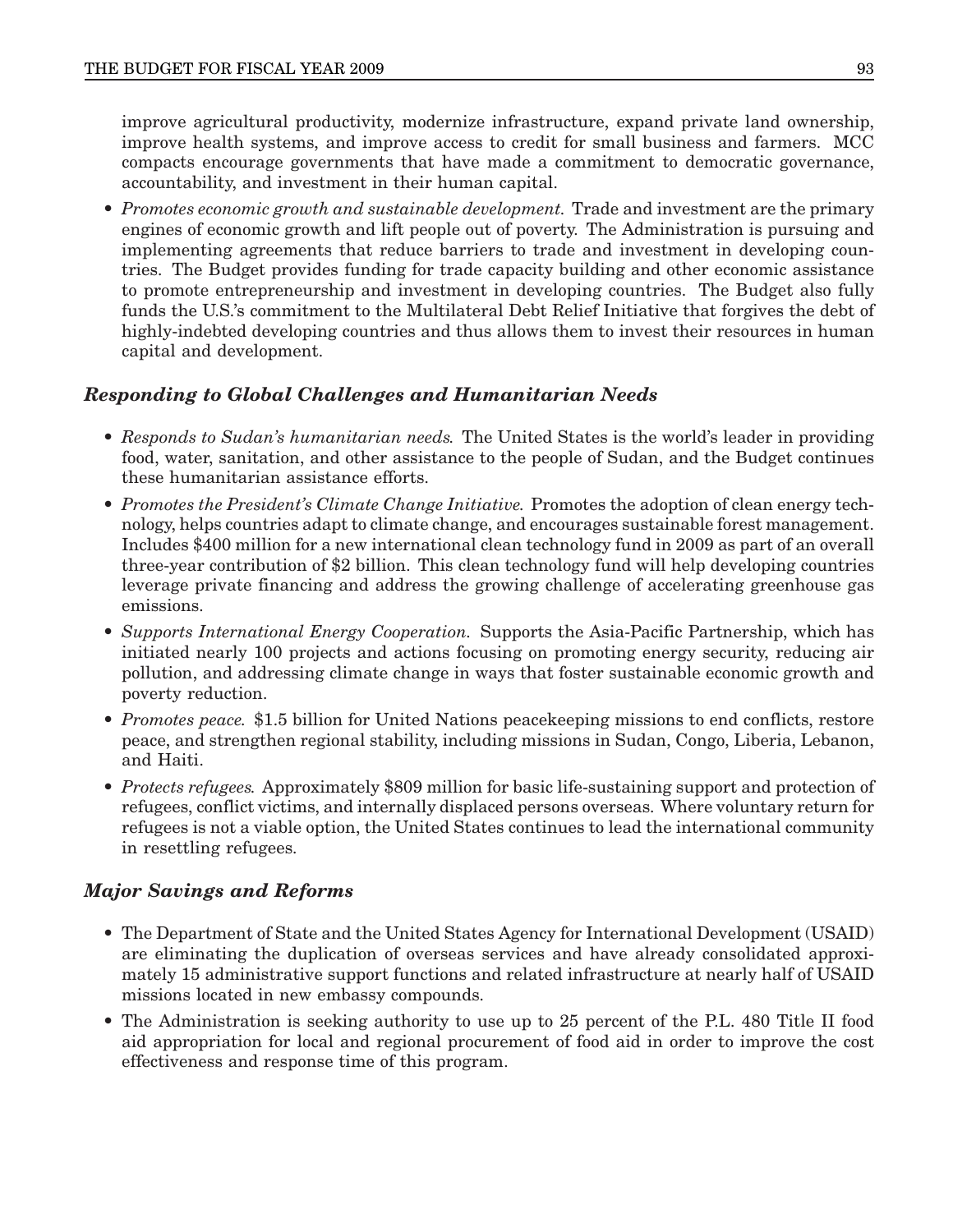improve agricultural productivity, modernize infrastructure, expand private land ownership, improve health systems, and improve access to credit for small business and farmers. MCC compacts encourage governments that have made <sup>a</sup> commitment to democratic governance, accountability, and investment in their human capital.

• *Promotes economic growth and sustainable development.* Trade and investment are the primary engines of economic growth and lift people out of poverty. The Administration is pursuing and implementing agreements that reduce barriers to trade and investment in developing countries. The Budget provides funding for trade capacity building and other economic assistance to promote entrepreneurship and investment in developing countries. The Budget also fully funds the U.S.'s commitment to the Multilateral Debt Relief Initiative that forgives the debt of highly-indebted developing countries and thus allows them to invest their resources in human capital and development.

## *Responding to Global Challenges and Humanitarian Needs*

- *Responds to Sudan's humanitarian needs.* The United States is the world's leader in providing food, water, sanitation, and other assistance to the people of Sudan, and the Budget continues these humanitarian assistance efforts.
- *Promotes the President's Climate Change Initiative.* Promotes the adoption of clean energy technology, helps countries adapt to climate change, and encourages sustainable forest management. Includes \$400 million for <sup>a</sup> new international clean technology fund in 2009 as part of an overall three-year contribution of \$2 billion. This clean technology fund will help developing countries leverage private financing and address the growing challenge of accelerating greenhouse gas emissions.
- *Supports International Energy Cooperation.* Supports the Asia-Pacific Partnership, which has initiated nearly 100 projects and actions focusing on promoting energy security, reducing air pollution, and addressing climate change in ways that foster sustainable economic growth and poverty reduction.
- *Promotes peace.* \$1.5 billion for United Nations peacekeeping missions to end conflicts, restore peace, and strengthen regional stability, including missions in Sudan, Congo, Liberia, Lebanon, and Haiti.
- *Protects refugees.* Approximately \$809 million for basic life-sustaining support and protection of refugees, conflict victims, and internally displaced persons overseas. Where voluntary return for refugees is not <sup>a</sup> viable option, the United States continues to lead the international community in resettling refugees.

## *Major Savings and Reforms*

- The Department of State and the United States Agency for International Development (USAID) are eliminating the duplication of overseas services and have already consolidated approximately 15 administrative support functions and related infrastructure at nearly half of USAID missions located in new embassy compounds.
- The Administration is seeking authority to use up to 25 percent of the P.L. 480 Title II food aid appropriation for local and regional procurement of food aid in order to improve the cost effectiveness and response time of this program.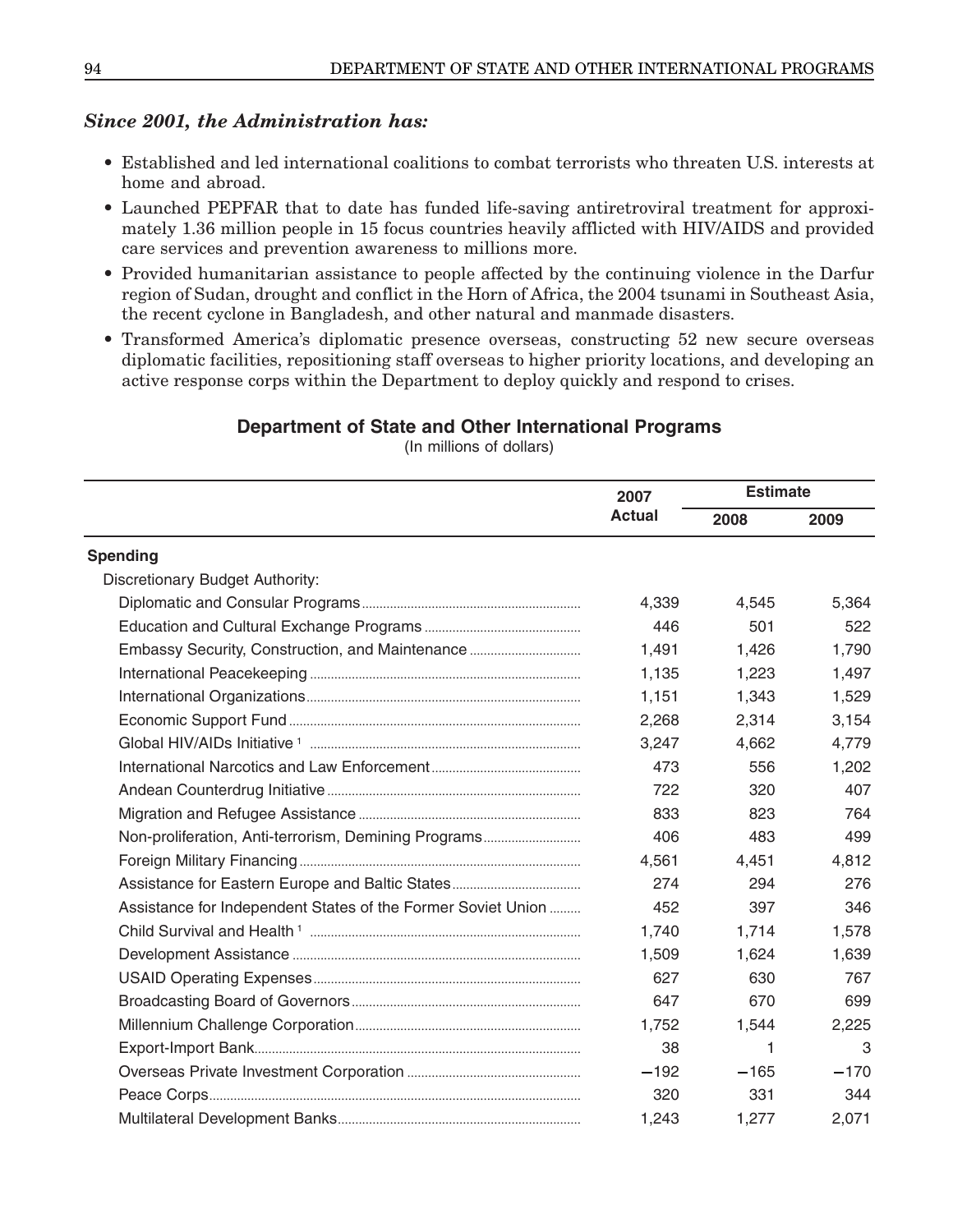#### *Since 2001, the Administration has:*

- Established and led international coalitions to combat terrorists who threaten U.S. interests at home and abroad.
- Launched PEPFAR that to date has funded life-saving antiretroviral treatment for approximately 1.36 million people in 15 focus countries heavily afflicted with HIV/AIDS and provided care services and prevention awareness to millions more.
- Provided humanitarian assistance to people affected by the continuing violence in the Darfur region of Sudan, drought and conflict in the Horn of Africa, the 2004 tsunami in Southeast Asia, the recent cyclone in Bangladesh, and other natural and manmade disasters.
- Transformed America's diplomatic presence overseas, constructing 52 new secure overseas diplomatic facilities, repositioning staff overseas to higher priority locations, and developing an active response corps within the Department to deploy quickly and respond to crises.

## **Department of State and Other International Programs**

|                                                              | 2007<br><b>Actual</b> | <b>Estimate</b> |        |
|--------------------------------------------------------------|-----------------------|-----------------|--------|
|                                                              |                       | 2008            | 2009   |
| <b>Spending</b>                                              |                       |                 |        |
| Discretionary Budget Authority:                              |                       |                 |        |
|                                                              | 4,339                 | 4.545           | 5,364  |
|                                                              | 446                   | 501             | 522    |
|                                                              | 1,491                 | 1,426           | 1,790  |
|                                                              | 1,135                 | 1,223           | 1,497  |
|                                                              | 1,151                 | 1,343           | 1,529  |
|                                                              | 2,268                 | 2,314           | 3,154  |
|                                                              | 3,247                 | 4,662           | 4,779  |
|                                                              | 473                   | 556             | 1,202  |
|                                                              | 722                   | 320             | 407    |
|                                                              | 833                   | 823             | 764    |
| Non-proliferation, Anti-terrorism, Demining Programs         | 406                   | 483             | 499    |
|                                                              | 4,561                 | 4,451           | 4,812  |
|                                                              | 274                   | 294             | 276    |
| Assistance for Independent States of the Former Soviet Union | 452                   | 397             | 346    |
|                                                              | 1,740                 | 1,714           | 1,578  |
|                                                              | 1,509                 | 1,624           | 1,639  |
|                                                              | 627                   | 630             | 767    |
|                                                              | 647                   | 670             | 699    |
|                                                              | 1,752                 | 1,544           | 2,225  |
|                                                              | 38                    | 1               | 3      |
|                                                              | $-192$                | $-165$          | $-170$ |
|                                                              | 320                   | 331             | 344    |
|                                                              | 1,243                 | 1,277           | 2,071  |

(In millions of dollars)